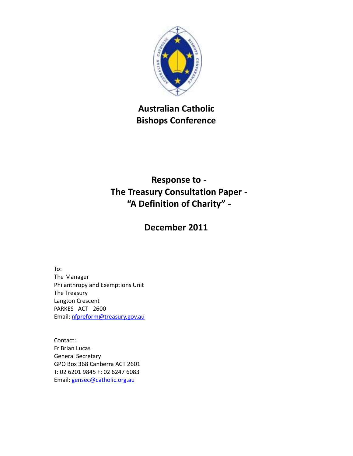

 **Australian Catholic Bishops Conference** 

# **Response to The Treasury Consultation Paper "A Definition of Charity"**

## **December 2011**

To:

 The Manager Philanthropy and Exemptions Unit The Treasury Langton Crescent PARKES ACT 2600

Email: <u>nfpreform@treasury.gov.au</u><br>Contact: Fr Brian Lucas General Secretary GPO Box 368 Canberra ACT 2601 T: 02 6201 9845 F: 02 6247 6083 Email: gensec@catholic.org.au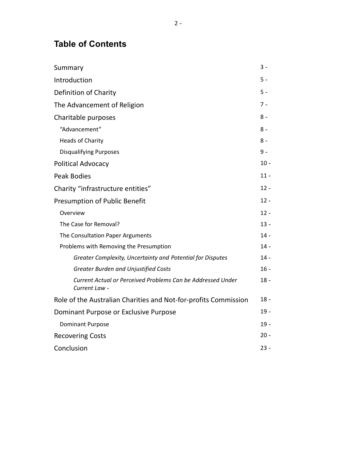### **Table of Contents**

| Summary                                                                      | $3 -$  |
|------------------------------------------------------------------------------|--------|
| Introduction                                                                 | $5 -$  |
| Definition of Charity                                                        | $5 -$  |
| The Advancement of Religion                                                  | $7 -$  |
| Charitable purposes                                                          | 8 -    |
| "Advancement"                                                                | 8 -    |
| <b>Heads of Charity</b>                                                      | $8 -$  |
| <b>Disqualifying Purposes</b>                                                | $9 -$  |
| Political Advocacy                                                           | $10 -$ |
| <b>Peak Bodies</b>                                                           | $11 -$ |
| Charity "infrastructure entities"                                            | $12 -$ |
| Presumption of Public Benefit                                                | $12 -$ |
| Overview                                                                     | $12 -$ |
| The Case for Removal?                                                        | $13 -$ |
| The Consultation Paper Arguments                                             | $14 -$ |
| Problems with Removing the Presumption                                       | 14 -   |
| Greater Complexity, Uncertainty and Potential for Disputes                   | $14 -$ |
| <b>Greater Burden and Unjustified Costs</b>                                  | $16 -$ |
| Current Actual or Perceived Problems Can be Addressed Under<br>Current Law - | $18 -$ |
| Role of the Australian Charities and Not-for-profits Commission              | $18 -$ |
| Dominant Purpose or Exclusive Purpose                                        | $19 -$ |
| <b>Dominant Purpose</b>                                                      | $19 -$ |
| <b>Recovering Costs</b>                                                      | $20 -$ |
| Conclusion                                                                   | $23 -$ |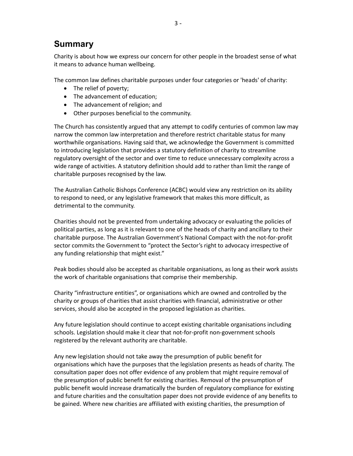### <span id="page-2-0"></span>**Summary**

 Charity is about how we express our concern for other people in the broadest sense of what it means to advance human wellbeing.

The common law defines charitable purposes under four categories or 'heads' of charity:

- The relief of poverty;
- The advancement of education;
- The advancement of religion; and
- Other purposes beneficial to the community.

 The Church has consistently argued that any attempt to codify centuries of common law may narrow the common law interpretation and therefore restrict charitable status for many worthwhile organisations. Having said that, we acknowledge the Government is committed to introducing legislation that provides a statutory definition of charity to streamline regulatory oversight of the sector and over time to reduce unnecessary complexity across a wide range of activities. A statutory definition should add to rather than limit the range of charitable purposes recognised by the law.

 The Australian Catholic Bishops Conference (ACBC) would view any restriction on its ability to respond to need, or any legislative framework that makes this more difficult, as detrimental to the community.

 Charities should not be prevented from undertaking advocacy or evaluating the policies of political parties, as long as it is relevant to one of the heads of charity and ancillary to their charitable purpose. The Australian Government's National Compact with the not-for-profit sector commits the Government to "protect the Sector's right to advocacy irrespective of any funding relationship that might exist."

 Peak bodies should also be accepted as charitable organisations, as long as their work assists the work of charitable organisations that comprise their membership.

 Charity "infrastructure entities", or organisations which are owned and controlled by the charity or groups of charities that assist charities with financial, administrative or other services, should also be accepted in the proposed legislation as charities.

 Any future legislation should continue to accept existing charitable organisations including schools. Legislation should make it clear that not-for-profit non-government schools registered by the relevant authority are charitable.

 Any new legislation should not take away the presumption of public benefit for organisations which have the purposes that the legislation presents as heads of charity. The consultation paper does not offer evidence of any problem that might require removal of the presumption of public benefit for existing charities. Removal of the presumption of public benefit would increase dramatically the burden of regulatory compliance for existing and future charities and the consultation paper does not provide evidence of any benefits to be gained. Where new charities are affiliated with existing charities, the presumption of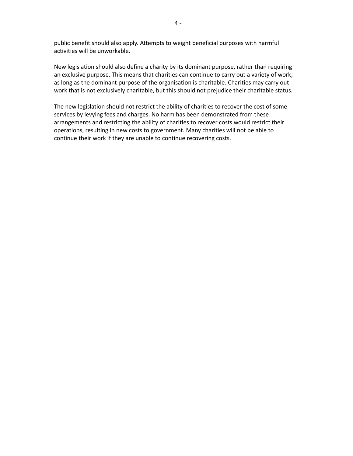public benefit should also apply. Attempts to weight beneficial purposes with harmful activities will be unworkable.

 New legislation should also define a charity by its dominant purpose, rather than requiring an exclusive purpose. This means that charities can continue to carry out a variety of work, as long as the dominant purpose of the organisation is charitable. Charities may carry out work that is not exclusively charitable, but this should not prejudice their charitable status.

 The new legislation should not restrict the ability of charities to recover the cost of some services by levying fees and charges. No harm has been demonstrated from these arrangements and restricting the ability of charities to recover costs would restrict their operations, resulting in new costs to government. Many charities will not be able to continue their work if they are unable to continue recovering costs.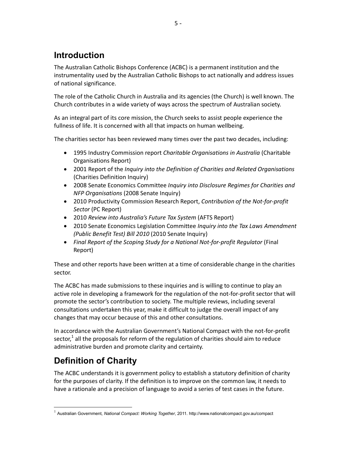## <span id="page-4-0"></span>**Introduction**

 The Australian Catholic Bishops Conference (ACBC) is a permanent institution and the instrumentality used by the Australian Catholic Bishops to act nationally and address issues of national significance.

 The role of the Catholic Church in Australia and its agencies (the Church) is well known. The Church contributes in a wide variety of ways across the spectrum of Australian society.

 As an integral part of its core mission, the Church seeks to assist people experience the fullness of life. It is concerned with all that impacts on human wellbeing.

The charities sector has been reviewed many times over the past two decades, including:

- • 1995 Industry Commission report *Charitable Organisations in Australia* (Charitable Organisations Report)
- • 2001 Report of the *Inquiry into the Definition of Charities and Related Organisations*  (Charities Definition Inquiry)
- • 2008 Senate Economics Committee *Inquiry into Disclosure Regimes for Charities and NFP Organisations* (2008 Senate Inquiry)
- • 2010 Productivity Commission Research Report, *Contribution of the Not-for-profit Sector* (PC Report)
- • 2010 *Review into Australia's Future Tax System* (AFTS Report)
- • 2010 Senate Economics Legislation Committee *Inquiry into the Tax Laws Amendment (Public Benefit Test) Bill 2010* (2010 Senate Inquiry)
- Final Report of the Scoping Study for a National Not-for-profit Regulator (Final Report)

 These and other reports have been written at a time of considerable change in the charities sector.

sector.<br>The ACBC has made submissions to these inquiries and is willing to continue to play an active role in developing a framework for the regulation of the not-for-profit sector that will promote the sector's contribution to society. The multiple reviews, including several consultations undertaken this year, make it difficult to judge the overall impact of any changes that may occur because of this and other consultations.

 In accordance with the Australian Government's National Compact with the not-for-profit sector,<sup>1</sup> all the proposals for reform of the regulation of charities should aim to reduce administrative burden and promote clarity and certainty.

# **Definition of Charity**

 The ACBC understands it is government policy to establish a statutory definition of charity for the purposes of clarity. If the definition is to improve on the common law, it needs to have a rationale and a precision of language to avoid a series of test cases in the future.

<sup>&</sup>lt;sup>1</sup> Australian Government, *National Compact: Working Together*, 2011. http://www.nationalcompact.gov.au/compact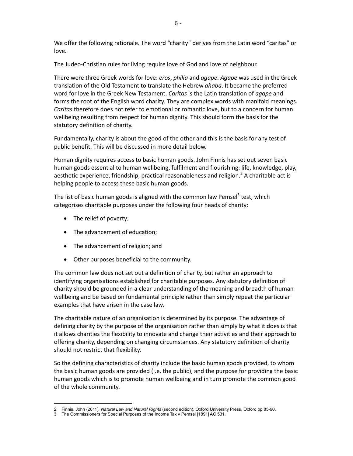We offer the following rationale. The word "charity" derives from the Latin word "caritas" or love.

love.<br>The Judeo-Christian rules for living require love of God and love of neighbour.

 There were three Greek words for love: *eros*, *philia* and *agape*. *Agape* was used in the Greek translation of the Old Testament to translate the Hebrew *ahabà*. It became the preferred word for love in the Greek New Testament. *Caritas* is the Latin translation of *agape* and forms the root of the English word charity. They are complex words with manifold meanings. *Caritas* therefore does not refer to emotional or romantic love, but to a concern for human wellbeing resulting from respect for human dignity. This should form the basis for the statutory definition of charity.

 Fundamentally, charity is about the good of the other and this is the basis for any test of public benefit. This will be discussed in more detail below.

 Human dignity requires access to basic human goods. John Finnis has set out seven basic human goods essential to human wellbeing, fulfilment and flourishing: life, knowledge, play, aesthetic experience, friendship, practical reasonableness and religion.<sup>2</sup> A charitable act is helping people to access these basic human goods.

The list of basic human goods is aligned with the common law Pemsel<sup>3</sup> test, which categorises charitable purposes under the following four heads of charity:

• The relief of poverty;

<u> 1989 - Johann Barn, mars et al.</u>

- The advancement of education;
- The advancement of religion; and
- Other purposes beneficial to the community.

 The common law does not set out a definition of charity, but rather an approach to identifying organisations established for charitable purposes. Any statutory definition of charity should be grounded in a clear understanding of the meaning and breadth of human wellbeing and be based on fundamental principle rather than simply repeat the particular examples that have arisen in the case law.

 The charitable nature of an organisation is determined by its purpose. The advantage of defining charity by the purpose of the organisation rather than simply by what it does is that it allows charities the flexibility to innovate and change their activities and their approach to offering charity, depending on changing circumstances. Any statutory definition of charity should not restrict that flexibility.

 So the defining characteristics of charity include the basic human goods provided, to whom the basic human goods are provided (i.e. the public), and the purpose for providing the basic human goods which is to promote human wellbeing and in turn promote the common good of the whole community.

  2 Finnis, John (2011), *Natural Law and Natural Rights* (second edition), Oxford University Press, Oxford pp 8590.

 3 The Commissioners for Special Purposes of the Income Tax v Pemsel [1891] AC 531.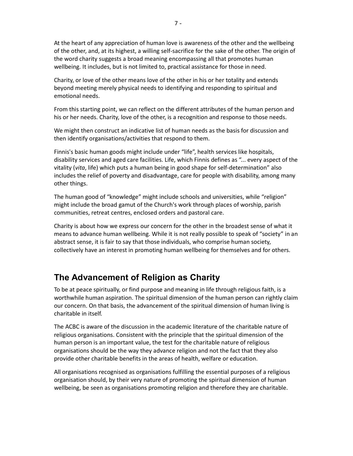<span id="page-6-0"></span> At the heart of any appreciation of human love is awareness of the other and the wellbeing of the other, and, at its highest, a willing self-sacrifice for the sake of the other. The origin of the word charity suggests a broad meaning encompassing all that promotes human wellbeing. It includes, but is not limited to, practical assistance for those in need.

 Charity, or love of the other means love of the other in his or her totality and extends beyond meeting merely physical needs to identifying and responding to spiritual and emotional needs.

 From this starting point, we can reflect on the different attributes of the human person and his or her needs. Charity, love of the other, is a recognition and response to those needs.

 We might then construct an indicative list of human needs as the basis for discussion and then identify organisations/activities that respond to them.

 Finnis's basic human goods might include under "life", health services like hospitals, disability services and aged care facilities. Life, which Finnis defines as "... every aspect of the vitality (*vita*, life) which puts a human being in good shape for self-determination" also includes the relief of poverty and disadvantage, care for people with disability, among many other things.

 The human good of "knowledge" might include schools and universities, while "religion" might include the broad gamut of the Church's work through places of worship, parish communities, retreat centres, enclosed orders and pastoral care.

 Charity is about how we express our concern for the other in the broadest sense of what it means to advance human wellbeing. While it is not really possible to speak of "society" in an abstract sense, it is fair to say that those individuals, who comprise human society, collectively have an interest in promoting human wellbeing for themselves and for others.

## **The Advancement of Religion as Charity**

 To be at peace spiritually, or find purpose and meaning in life through religious faith, is a worthwhile human aspiration. The spiritual dimension of the human person can rightly claim our concern. On that basis, the advancement of the spiritual dimension of human living is charitable in itself.

 The ACBC is aware of the discussion in the academic literature of the charitable nature of religious organisations. Consistent with the principle that the spiritual dimension of the human person is an important value, the test for the charitable nature of religious organisations should be the way they advance religion and not the fact that they also provide other charitable benefits in the areas of health, welfare or education.

 All organisations recognised as organisations fulfilling the essential purposes of a religious organisation should, by their very nature of promoting the spiritual dimension of human wellbeing, be seen as organisations promoting religion and therefore they are charitable.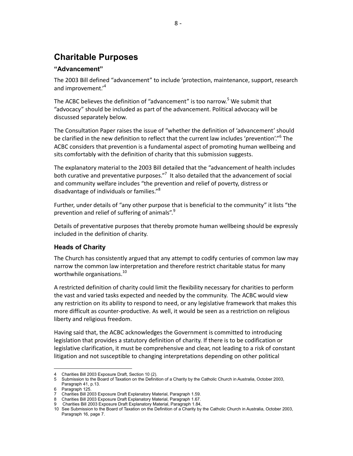## <span id="page-7-0"></span> **Charitable Purposes**

### **"Advancement"**

 The 2003 Bill defined "advancement" to include 'protection, maintenance, support, research and improvement.'<sup>4</sup>

The ACBC believes the definition of "advancement" is too narrow.<sup>5</sup> We submit that "advocacy" should be included as part of the advancement. Political advocacy will be discussed separately below.

 The Consultation Paper raises the issue of "whether the definition of 'advancement' should be clarified in the new definition to reflect that the current law includes 'prevention'."<sup>6</sup> The ACBC considers that prevention is a fundamental aspect of promoting human wellbeing and sits comfortably with the definition of charity that this submission suggests.

 The explanatory material to the 2003 Bill detailed that the "advancement of health includes both curative and preventative purposes."<sup>7</sup> It also detailed that the advancement of social and community welfare includes "the prevention and relief of poverty, distress or disadvantage of individuals or families."<sup>8</sup>

 Further, under details of "any other purpose that is beneficial to the community" it lists "the prevention and relief of suffering of animals". $9$ 

 Details of preventative purposes that thereby promote human wellbeing should be expressly included in the definition of charity.

### **Heads of Charity**

 The Church has consistently argued that any attempt to codify centuries of common law may narrow the common law interpretation and therefore restrict charitable status for many worthwhile organisations.<sup>10</sup>

 A restricted definition of charity could limit the flexibility necessary for charities to perform the vast and varied tasks expected and needed by the community. The ACBC would view any restriction on its ability to respond to need, or any legislative framework that makes this more difficult as counter-productive. As well, it would be seen as a restriction on religious liberty and religious freedom.

 Having said that, the ACBC acknowledges the Government is committed to introducing legislation that provides a statutory definition of charity. If there is to be codification or legislative clarification, it must be comprehensive and clear, not leading to a risk of constant litigation and not susceptible to changing interpretations depending on other political

 4 Charities Bill 2003 Exposure Draft, Section 10 (2).

to the Board of Taxation on the Definition of a Charity by the Catholic Church in Australia, October 2003, Paragraph 41, p.13. 5 Submission to the Board of Taxation on the Definition of a Charity by the Catholic Church in Australia, October 2003,

<sup>125.</sup> 6 Paragraph 125.

Charities Bill 2003 Exposure Draft Explanatory Material, Paragraph 1.59. 7 Charities Bill 2003 Exposure Draft Explanatory Material, Paragraph 1.59.

<sup>8</sup> Charities Bill 2003 Exposure Draft Explanatory Material, Paragraph 1.67.

Charities Bill 2003 Exposure Draft Explanatory Material, Paragraph 1.84, 9 Charities Bill 2003 Exposure Draft Explanatory Material, Paragraph 1.84,

 10 See Submission to the Board of Taxation on the Definition of a Charity by the Catholic Church in Australia, October 2003, Paragraph 16, page 7.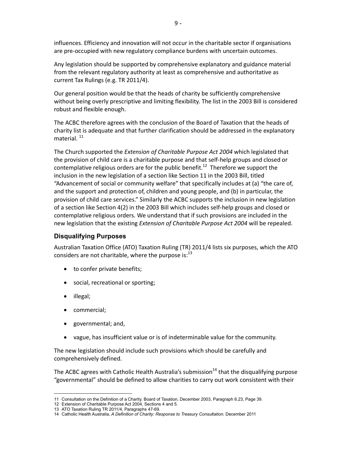<span id="page-8-0"></span> influences. Efficiency and innovation will not occur in the charitable sector if organisations are pre-occupied with new regulatory compliance burdens with uncertain outcomes.

 Any legislation should be supported by comprehensive explanatory and guidance material from the relevant regulatory authority at least as comprehensive and authoritative as current Tax Rulings (e.g. TR 2011/4).

 Our general position would be that the heads of charity be sufficiently comprehensive without being overly prescriptive and limiting flexibility. The list in the 2003 Bill is considered robust and flexible enough.

 The ACBC therefore agrees with the conclusion of the Board of Taxation that the heads of charity list is adequate and that further clarification should be addressed in the explanatory material.  $^{11}$ 

 The Church supported the *Extension of Charitable Purpose Act 2004* which legislated that the provision of child care is a charitable purpose and that self-help groups and closed or contemplative religious orders are for the public benefit.<sup>12</sup> Therefore we support the inclusion in the new legislation of a section like Section 11 in the 2003 Bill, titled "Advancement of social or community welfare" that specifically includes at (a) "the care of, and the support and protection of, children and young people, and (b) in particular, the provision of child care services." Similarly the ACBC supports the inclusion in new legislation of a section like Section 4(2) in the 2003 Bill which includes self-help groups and closed or contemplative religious orders. We understand that if such provisions are included in the new legislation that the existing *Extension of Charitable Purpose Act 2004* will be repealed.

#### **Disqualifying Purposes**

 Australian Taxation Office (ATO) Taxation Ruling (TR) 2011/4 lists six purposes, which the ATO considers are not charitable, where the purpose is: $^{13}$ 

- to confer private benefits;
- social, recreational or sporting;
- illegal;
- commercial;
- governmental; and,

<u> 1989 - Johann Barn, mars eta bainar eta i</u>

• vague, has insufficient value or is of indeterminable value for the community.

 The new legislation should include such provisions which should be carefully and comprehensively defined.

The ACBC agrees with Catholic Health Australia's submission<sup>14</sup> that the disqualifying purpose "governmental" should be defined to allow charities to carry out work consistent with their

 11 Consultation on the Definition of a Charity. Board of Taxation, December 2003, Paragraph 6.23, Page 39.

 12 Extension of Charitable Purpose Act 2004, Sections 4 and 5.

<sup>13</sup> ATO Taxation Ruling TR 2011/4, Paragraphs 47-69.

Catholic Health Australia, A Definition of Charity: Response to Treasury Consultation. December 2011 14 Catholic Health Australia, *A Definition of Charity: Response to Treasury Consultation*. December 2011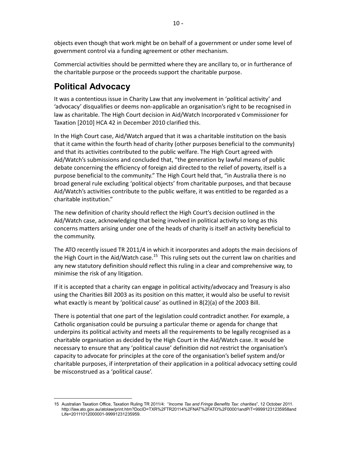<span id="page-9-0"></span> objects even though that work might be on behalf of a government or under some level of government control via a funding agreement or other mechanism.

 Commercial activities should be permitted where they are ancillary to, or in furtherance of the charitable purpose or the proceeds support the charitable purpose.

## **Political Advocacy**

 It was a contentious issue in Charity Law that any involvement in 'political activity' and 'advocacy' disqualifies or deems non-applicable an organisation's right to be recognised in law as charitable. The High Court decision in Aid/Watch Incorporated v Commissioner for Taxation [2010] HCA 42 in December 2010 clarified this.

 In the High Court case, Aid/Watch argued that it was a charitable institution on the basis that it came within the fourth head of charity (other purposes beneficial to the community) and that its activities contributed to the public welfare. The High Court agreed with Aid/Watch's submissions and concluded that, "the generation by lawful means of public debate concerning the efficiency of foreign aid directed to the relief of poverty, itself is a purpose beneficial to the community." The High Court held that, "in Australia there is no broad general rule excluding 'political objects' from charitable purposes, and that because Aid/Watch's activities contribute to the public welfare, it was entitled to be regarded as a charitable institution."

 The new definition of charity should reflect the High Court's decision outlined in the Aid/Watch case, acknowledging that being involved in political activity so long as this concerns matters arising under one of the heads of charity is itself an activity beneficial to the community.

 The ATO recently issued TR 2011/4 in which it incorporates and adopts the main decisions of the High Court in the Aid/Watch case.<sup>15</sup> This ruling sets out the current law on charities and any new statutory definition should reflect this ruling in a clear and comprehensive way, to minimise the risk of any litigation.

 If it is accepted that a charity can engage in political activity/advocacy and Treasury is also using the Charities Bill 2003 as its position on this matter, it would also be useful to revisit what exactly is meant by 'political cause' as outlined in 8(2)(a) of the 2003 Bill.

 There is potential that one part of the legislation could contradict another. For example, a Catholic organisation could be pursuing a particular theme or agenda for change that underpins its political activity and meets all the requirements to be legally recognised as a charitable organisation as decided by the High Court in the Aid/Watch case. It would be necessary to ensure that any 'political cause' definition did not restrict the organisation's capacity to advocate for principles at the core of the organisation's belief system and/or charitable purposes, if interpretation of their application in a political advocacy setting could be misconstrued as a 'political cause'.

  15 Australian Taxation Office, Taxation Ruling TR 2011/4: "*Income Tax and Fringe Benefits Tax: charities*", 12 October 2011. http://law.ato.gov.au/atolaw/print.htm?DocID=TXR%2FTR20114%2FNAT%2FATO%2F00001andPiT=99991231235958and Life=20111012000001-99991231235959.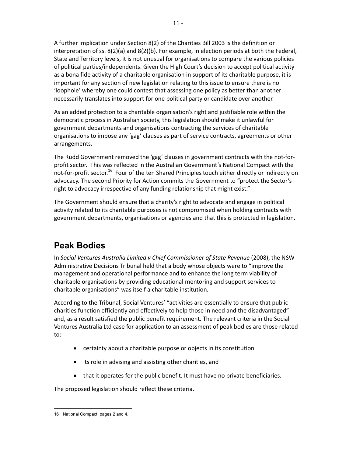<span id="page-10-0"></span> A further implication under Section 8(2) of the Charities Bill 2003 is the definition or interpretation of ss. 8(2)(a) and 8(2)(b). For example, in election periods at both the Federal, State and Territory levels, it is not unusual for organisations to compare the various policies of political parties/independents. Given the High Court's decision to accept political activity as a bona fide activity of a charitable organisation in support of its charitable purpose, it is important for any section of new legislation relating to this issue to ensure there is no 'loophole' whereby one could contest that assessing one policy as better than another necessarily translates into support for one political party or candidate over another.

 As an added protection to a charitable organisation's right and justifiable role within the democratic process in Australian society, this legislation should make it unlawful for government departments and organisations contracting the services of charitable organisations to impose any 'gag' clauses as part of service contracts, agreements or other arrangements.

 The Rudd Government removed the 'gag' clauses in government contracts with the not-for- profit sector. This was reflected in the Australian Government's National Compact with the not-for-profit sector.<sup>16</sup> Four of the ten Shared Principles touch either directly or indirectly on advocacy. The second Priority for Action commits the Government to "protect the Sector's right to advocacy irrespective of any funding relationship that might exist."

 The Government should ensure that a charity's right to advocate and engage in political activity related to its charitable purposes is not compromised when holding contracts with government departments, organisations or agencies and that this is protected in legislation.

## **Peak Bodies**

In Social Ventures Australia Limited v Chief Commissioner of State Revenue (2008), the NSW Administrative Decisions Tribunal held that a body whose objects were to "improve the management and operational performance and to enhance the long term viability of charitable organisations by providing educational mentoring and support services to charitable organisations" was itself a charitable institution.

 According to the Tribunal, Social Ventures' "activities are essentially to ensure that public charities function efficiently and effectively to help those in need and the disadvantaged" and, as a result satisfied the public benefit requirement. The relevant criteria in the Social Ventures Australia Ltd case for application to an assessment of peak bodies are those related to:

- certainty about a charitable purpose or objects in its constitution
- its role in advising and assisting other charities, and
- that it operates for the public benefit. It must have no private beneficiaries.

The proposed legislation should reflect these criteria.

<sup>&</sup>lt;u> 1989 - Johann Barn, mars et al.</u> 16 National Compact, pages 2 and 4.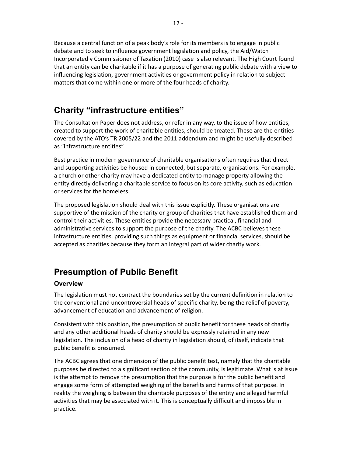<span id="page-11-0"></span> Because a central function of a peak body's role for its members is to engage in public debate and to seek to influence government legislation and policy, the Aid/Watch Incorporated v Commissioner of Taxation (2010) case is also relevant. The High Court found that an entity can be charitable if it has a purpose of generating public debate with a view to influencing legislation, government activities or government policy in relation to subject matters that come within one or more of the four heads of charity.

### **Charity "infrastructure entities"**

 The Consultation Paper does not address, or refer in any way, to the issue of how entities, created to support the work of charitable entities, should be treated. These are the entities covered by the ATO's TR 2005/22 and the 2011 addendum and might be usefully described as "infrastructure entities".

 Best practice in modern governance of charitable organisations often requires that direct and supporting activities be housed in connected, but separate, organisations. For example, a church or other charity may have a dedicated entity to manage property allowing the entity directly delivering a charitable service to focus on its core activity, such as education or services for the homeless.

 The proposed legislation should deal with this issue explicitly. These organisations are supportive of the mission of the charity or group of charities that have established them and control their activities. These entities provide the necessary practical, financial and administrative services to support the purpose of the charity. The ACBC believes these infrastructure entities, providing such things as equipment or financial services, should be accepted as charities because they form an integral part of wider charity work.

## **Presumption of Public Benefit**

### **Overview**

 The legislation must not contract the boundaries set by the current definition in relation to the conventional and uncontroversial heads of specific charity, being the relief of poverty, advancement of education and advancement of religion.

 Consistent with this position, the presumption of public benefit for these heads of charity and any other additional heads of charity should be expressly retained in any new legislation. The inclusion of a head of charity in legislation should, of itself, indicate that public benefit is presumed.

 The ACBC agrees that one dimension of the public benefit test, namely that the charitable purposes be directed to a significant section of the community, is legitimate. What is at issue is the attempt to remove the presumption that the purpose is for the public benefit and engage some form of attempted weighing of the benefits and harms of that purpose. In reality the weighing is between the charitable purposes of the entity and alleged harmful activities that may be associated with it. This is conceptually difficult and impossible in practice.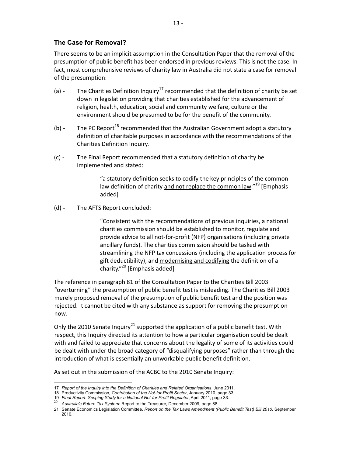### <span id="page-12-0"></span> **The Case for Removal?**

 There seems to be an implicit assumption in the Consultation Paper that the removal of the presumption of public benefit has been endorsed in previous reviews. This is not the case. In fact, most comprehensive reviews of charity law in Australia did not state a case for removal of the presumption:

- (a)  $\blacksquare$  The Charities Definition Inquiry<sup>17</sup> recommended that the definition of charity be set down in legislation providing that charities established for the advancement of religion, health, education, social and community welfare, culture or the environment should be presumed to be for the benefit of the community.
- (b)  $\sim$  The PC Report<sup>18</sup> recommended that the Australian Government adopt a statutory definition of charitable purposes in accordance with the recommendations of the Charities Definition Inquiry.
- (c) The Final Report recommended that a statutory definition of charity be implemented and stated:

 "a statutory definition seeks to codify the key principles of the common law definition of charity and not replace the common law."<sup>19</sup> [Emphasis added]

(d) - The AFTS Report concluded:

 "Consistent with the recommendations of previous inquiries, a national charities commission should be established to monitor, regulate and provide advice to all not-for-profit (NFP) organisations (including private ancillary funds). The charities commission should be tasked with streamlining the NFP tax concessions (including the application process for gift deductibility), and modernising and codifying the definition of a charity."<sup>20</sup> [Emphasis added]

 The reference in paragraph 81 of the Consultation Paper to the Charities Bill 2003 "overturning" the presumption of public benefit test is misleading. The Charities Bill 2003 merely proposed removal of the presumption of public benefit test and the position was rejected. It cannot be cited with any substance as support for removing the presumption now.

Only the 2010 Senate Inquiry<sup>21</sup> supported the application of a public benefit test. With respect, this Inquiry directed its attention to how a particular organisation could be dealt with and failed to appreciate that concerns about the legality of some of its activities could be dealt with under the broad category of "disqualifying purposes" rather than through the introduction of what is essentially an unworkable public benefit definition.

As set out in the submission of the ACBC to the 2010 Senate Inquiry:

 17 *Report of the Inquiry into the Definition of Charities and Related Organisations*, June 2011.

<sup>18</sup> Productivity Commission, *Contribution of the Not-for-Profit Sector*, January 2010, page 33.

<sup>19</sup> *Final Report: Scoping Study for a National Not-for-Profit Regulator*, April 2011, page 33.<br><sup>20</sup> *Australia's Future Tax System*: Report to the Treasurer, December 2009, page 88.

Australia's Future Tax System: Report to the Treasurer, December 2009, page 88.

<sup>21</sup> Senate Economics Legislation Committee, Report on the Tax Laws Amendment (Public Benefit Test) Bill 2010, September 2010.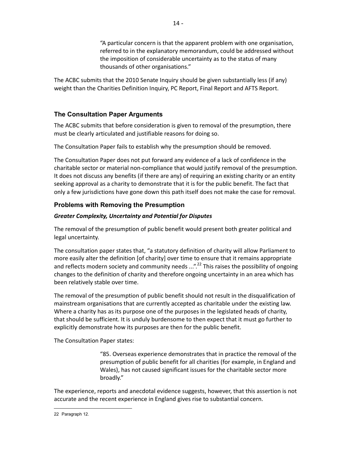"A particular concern is that the apparent problem with one organisation, referred to in the explanatory memorandum, could be addressed without the imposition of considerable uncertainty as to the status of many thousands of other organisations."

<span id="page-13-0"></span> The ACBC submits that the 2010 Senate Inquiry should be given substantially less (if any) weight than the Charities Definition Inquiry, PC Report, Final Report and AFTS Report.

### **The Consultation Paper Arguments**

 The ACBC submits that before consideration is given to removal of the presumption, there must be clearly articulated and justifiable reasons for doing so.

The Consultation Paper fails to establish why the presumption should be removed.

 The Consultation Paper does not put forward any evidence of a lack of confidence in the charitable sector or material non-compliance that would justify removal of the presumption. It does not discuss any benefits (if there are any) of requiring an existing charity or an entity seeking approval as a charity to demonstrate that it is for the public benefit. The fact that only a few jurisdictions have gone down this path itself does not make the case for removal.

### **Problems with Removing the Presumption**

#### *Greater Complexity, Uncertainty and Potential for Disputes*

 The removal of the presumption of public benefit would present both greater political and legal uncertainty.

 The consultation paper states that, "a statutory definition of charity will allow Parliament to more easily alter the definition [of charity] over time to ensure that it remains appropriate and reflects modern society and community needs ...".<sup>22</sup> This raises the possibility of ongoing changes to the definition of charity and therefore ongoing uncertainty in an area which has been relatively stable over time.

 The removal of the presumption of public benefit should not result in the disqualification of mainstream organisations that are currently accepted as charitable under the existing law. Where a charity has as its purpose one of the purposes in the legislated heads of charity, that should be sufficient. It is unduly burdensome to then expect that it must go further to explicitly demonstrate how its purposes are then for the public benefit.

The Consultation Paper states:

<u> 1989 - Johann Barn, mars et al.</u>

 "85. Overseas experience demonstrates that in practice the removal of the presumption of public benefit for all charities (for example, in England and Wales), has not caused significant issues for the charitable sector more broadly."

 The experience, reports and anecdotal evidence suggests, however, that this assertion is not accurate and the recent experience in England gives rise to substantial concern.

<sup>22</sup> Paragraph 12.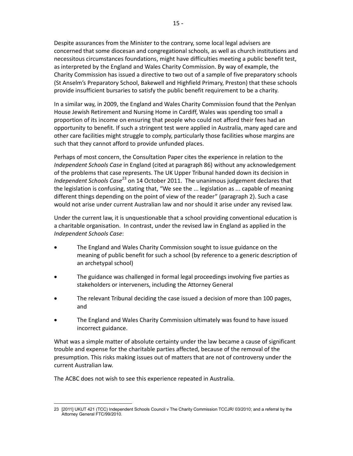Despite assurances from the Minister to the contrary, some local legal advisers are concerned that some diocesan and congregational schools, as well as church institutions and necessitous circumstances foundations, might have difficulties meeting a public benefit test, as interpreted by the England and Wales Charity Commission. By way of example, the Charity Commission has issued a directive to two out of a sample of five preparatory schools (St Anselm's Preparatory School, Bakewell and Highfield Primary, Preston) that these schools provide insufficient bursaries to satisfy the public benefit requirement to be a charity.

 In a similar way, in 2009, the England and Wales Charity Commission found that the Penlyan House Jewish Retirement and Nursing Home in Cardiff, Wales was spending too small a proportion of its income on ensuring that people who could not afford their fees had an opportunity to benefit. If such a stringent test were applied in Australia, many aged care and other care facilities might struggle to comply, particularly those facilities whose margins are such that they cannot afford to provide unfunded places.

 Perhaps of most concern, the Consultation Paper cites the experience in relation to the  *Independent Schools Case* in England (cited at paragraph 86) without any acknowledgement of the problems that case represents. The UK Upper Tribunal handed down its decision in Independent Schools Case<sup>23</sup> on 14 October 2011. The unanimous judgement declares that the legislation is confusing, stating that, "We see the ... legislation as ... capable of meaning different things depending on the point of view of the reader" (paragraph 2). Such a case would not arise under current Australian law and nor should it arise under any revised law.

 Under the current law, it is unquestionable that a school providing conventional education is a charitable organisation. In contrast, under the revised law in England as applied in the  *Independent Schools Case*:

- The England and Wales Charity Commission sought to issue guidance on the meaning of public benefit for such a school (by reference to a generic description of an archetypal school)
- The guidance was challenged in formal legal proceedings involving five parties as stakeholders or interveners, including the Attorney General
- The relevant Tribunal deciding the case issued a decision of more than 100 pages, and
- The England and Wales Charity Commission ultimately was found to have issued incorrect guidance.

 What was a simple matter of absolute certainty under the law became a cause of significant trouble and expense for the charitable parties affected, because of the removal of the presumption. This risks making issues out of matters that are not of controversy under the current Australian law.

The ACBC does not wish to see this experience repeated in Australia.

<sup>23 [2011]</sup> UKUT 421 (TCC) Independent Schools Council v The Charity Commission TCCJR/ 03/2010; and a referral by the Attorney General FTC/99/2010.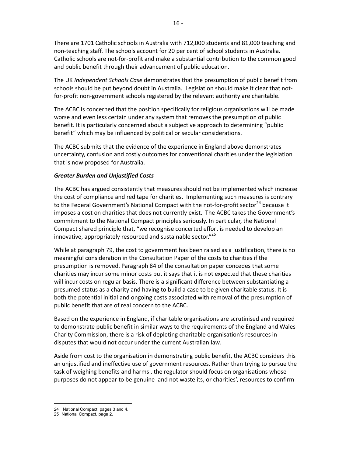There are 1701 Catholic schools in Australia with 712,000 students and 81,000 teaching and non-teaching staff. The schools account for 20 per cent of school students in Australia. Catholic schools are not-for-profit and make a substantial contribution to the common good and public benefit through their advancement of public education.

 The UK *Independent Schools Case* demonstrates that the presumption of public benefit from schools should be put beyond doubt in Australia. Legislation should make it clear that not-for-profit non-government schools registered by the relevant authority are charitable.

 The ACBC is concerned that the position specifically for religious organisations will be made worse and even less certain under any system that removes the presumption of public benefit. It is particularly concerned about a subjective approach to determining "public benefit" which may be influenced by political or secular considerations.

 The ACBC submits that the evidence of the experience in England above demonstrates uncertainty, confusion and costly outcomes for conventional charities under the legislation that is now proposed for Australia.

#### *Greater Burden and Unjustified Costs*

 The ACBC has argued consistently that measures should not be implemented which increase the cost of compliance and red tape for charities. Implementing such measures is contrary to the Federal Government's National Compact with the not-for-profit sector<sup>24</sup> because it imposes a cost on charities that does not currently exist. The ACBC takes the Government's commitment to the National Compact principles seriously. In particular, the National Compact shared principle that, "we recognise concerted effort is needed to develop an innovative, appropriately resourced and sustainable sector."<sup>25</sup>

 While at paragraph 79, the cost to government has been raised as a justification, there is no meaningful consideration in the Consultation Paper of the costs to charities if the presumption is removed. Paragraph 84 of the consultation paper concedes that some charities may incur some minor costs but it says that it is not expected that these charities will incur costs on regular basis. There is a significant difference between substantiating a presumed status as a charity and having to build a case to be given charitable status. It is both the potential initial and ongoing costs associated with removal of the presumption of public benefit that are of real concern to the ACBC.

 Based on the experience in England, if charitable organisations are scrutinised and required to demonstrate public benefit in similar ways to the requirements of the England and Wales Charity Commission, there is a risk of depleting charitable organisation's resources in disputes that would not occur under the current Australian law.

 Aside from cost to the organisation in demonstrating public benefit, the ACBC considers this an unjustified and ineffective use of government resources. Rather than trying to pursue the task of weighing benefits and harms , the regulator should focus on organisations whose purposes do not appear to be genuine and not waste its, or charities', resources to confirm

 24 National Compact, pages 3 and 4.

 25 National Compact, page 2.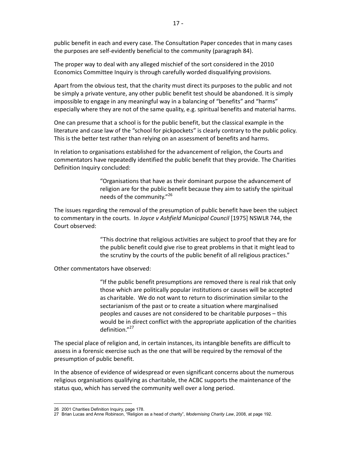public benefit in each and every case. The Consultation Paper concedes that in many cases the purposes are self-evidently beneficial to the community (paragraph 84).

 The proper way to deal with any alleged mischief of the sort considered in the 2010 Economics Committee Inquiry is through carefully worded disqualifying provisions.

 Apart from the obvious test, that the charity must direct its purposes to the public and not be simply a private venture, any other public benefit test should be abandoned. It is simply impossible to engage in any meaningful way in a balancing of "benefits" and "harms" especially where they are not of the same quality, e.g. spiritual benefits and material harms.

 One can presume that a school is for the public benefit, but the classical example in the literature and case law of the "school for pickpockets" is clearly contrary to the public policy. This is the better test rather than relying on an assessment of benefits and harms.

 In relation to organisations established for the advancement of religion, the Courts and commentators have repeatedly identified the public benefit that they provide. The Charities Definition Inquiry concluded:

> "Organisations that have as their dominant purpose the advancement of religion are for the public benefit because they aim to satisfy the spiritual needs of the community."<sup>26</sup>

 The issues regarding the removal of the presumption of public benefit have been the subject to commentary in the courts. In *Joyce v Ashfield Municipal Council* [1975] NSWLR 744, the Court observed:

> "This doctrine that religious activities are subject to proof that they are for the public benefit could give rise to great problems in that it might lead to the scrutiny by the courts of the public benefit of all religious practices."

Other commentators have observed:

 "If the public benefit presumptions are removed there is real risk that only those which are politically popular institutions or causes will be accepted as charitable. We do not want to return to discrimination similar to the sectarianism of the past or to create a situation where marginalised peoples and causes are not considered to be charitable purposes – this would be in direct conflict with the appropriate application of the charities definition."<sup>27</sup>

 The special place of religion and, in certain instances, its intangible benefits are difficult to assess in a forensic exercise such as the one that will be required by the removal of the presumption of public benefit.

 In the absence of evidence of widespread or even significant concerns about the numerous religious organisations qualifying as charitable, the ACBC supports the maintenance of the status quo, which has served the community well over a long period.

 26 2001 Charities Definition Inquiry, page 178.

Brian Lucas and Anne Robinson, "Religion as a head of charity", Modernising Charity Law, 2008, at page 192. 27 Brian Lucas and Anne Robinson, "Religion as a head of charity", *Modernising Charity Law*, 2008, at page 192.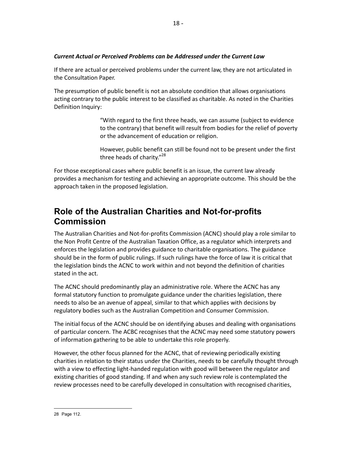#### <span id="page-17-0"></span> *Current Actual or Perceived Problems can be Addressed under the Current Law*

 If there are actual or perceived problems under the current law, they are not articulated in the Consultation Paper.

 The presumption of public benefit is not an absolute condition that allows organisations acting contrary to the public interest to be classified as charitable. As noted in the Charities Definition Inquiry:

> "With regard to the first three heads, we can assume (subject to evidence to the contrary) that benefit will result from bodies for the relief of poverty or the advancement of education or religion.

> However, public benefit can still be found not to be present under the first three heads of charity."<sup>28</sup>

 For those exceptional cases where public benefit is an issue, the current law already provides a mechanism for testing and achieving an appropriate outcome. This should be the approach taken in the proposed legislation.

### **Role of the Australian Charities and Notforprofits Commission**

 The Australian Charities and Not-for-profits Commission (ACNC) should play a role similar to the Non Profit Centre of the Australian Taxation Office, as a regulator which interprets and enforces the legislation and provides guidance to charitable organisations. The guidance should be in the form of public rulings. If such rulings have the force of law it is critical that the legislation binds the ACNC to work within and not beyond the definition of charities stated in the act.

 The ACNC should predominantly play an administrative role. Where the ACNC has any formal statutory function to promulgate guidance under the charities legislation, there needs to also be an avenue of appeal, similar to that which applies with decisions by regulatory bodies such as the Australian Competition and Consumer Commission.

 The initial focus of the ACNC should be on identifying abuses and dealing with organisations of particular concern. The ACBC recognises that the ACNC may need some statutory powers of information gathering to be able to undertake this role properly.

 However, the other focus planned for the ACNC, that of reviewing periodically existing charities in relation to their status under the Charities, needs to be carefully thought through with a view to effecting light-handed regulation with good will between the regulator and existing charities of good standing. If and when any such review role is contemplated the review processes need to be carefully developed in consultation with recognised charities,

<u> 1989 - Johann Barn, mars et al.</u>

 28 Page 112.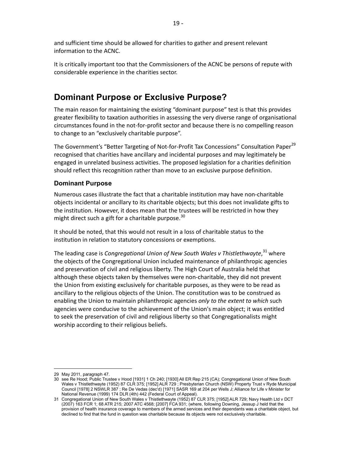<span id="page-18-0"></span> and sufficient time should be allowed for charities to gather and present relevant information to the ACNC.

 It is critically important too that the Commissioners of the ACNC be persons of repute with considerable experience in the charities sector.

## **Dominant Purpose or Exclusive Purpose?**

 The main reason for maintaining the existing "dominant purpose" test is that this provides greater flexibility to taxation authorities in assessing the very diverse range of organisational circumstances found in the not-for-profit sector and because there is no compelling reason to change to an "exclusively charitable purpose".

The Government's "Better Targeting of Not-for-Profit Tax Concessions" Consultation Paper<sup>29</sup> recognised that charities have ancillary and incidental purposes and may legitimately be engaged in unrelated business activities. The proposed legislation for a charities definition should reflect this recognition rather than move to an exclusive purpose definition.

#### **Dominant Purpose**

 Numerous cases illustrate the fact that a charitable institution may have non-charitable objects incidental or ancillary to its charitable objects; but this does not invalidate gifts to the institution. However, it does mean that the trustees will be restricted in how they might direct such a gift for a charitable purpose.<sup>30</sup>

 It should be noted, that this would not result in a loss of charitable status to the institution in relation to statutory concessions or exemptions.

The leading case is *Congregational Union of New South Wales v Thistlethwayte*,  $31$  where the objects of the Congregational Union included maintenance of philanthropic agencies and preservation of civil and religious liberty. The High Court of Australia held that although these objects taken by themselves were non-charitable, they did not prevent the Union from existing exclusively for charitable purposes, as they were to be read as ancillary to the religious objects of the Union. The constitution was to be construed as enabling the Union to maintain philanthropic agencies *only to the extent to which* such agencies were conducive to the achievement of the Union's main object; it was entitled to seek the preservation of civil and religious liberty so that Congregationalists might worship according to their religious beliefs.

<u> 1989 - Johann Barn, mars et al.</u>

 29 May 2011, paragraph 47.

 30 see Re Hood; Public Trustee v Hood [1931] 1 Ch 240; [1930] All ER Rep 215 (CA); Congregational Union of New South Wales v Thistlethwayte (1952) 87 CLR 375; [1952] ALR 729 ; Presbyterian Church (NSW) Property Trust v Ryde Municipal Council [1978] 2 NSWLR 387 ; Re De Vedas (dec'd) [1971] SASR 169 at 204 per Wells J; Alliance for Life v Minister for National Revenue (1999) 174 DLR (4th) 442 (Federal Court of Appeal).

 31 Congregational Union of New South Wales v Thistlethwayte (1952) 87 CLR 375; [1952] ALR 729; Navy Health Ltd v DCT (2007) 163 FCR 1; 68 ATR 215; 2007 ATC 4568; [2007] FCA 931; (where, following Downing, Jessup J held that the provision of health insurance coverage to members of the armed services and their dependants was a charitable object, but declined to find that the fund in question was charitable because its objects were not exclusively charitable.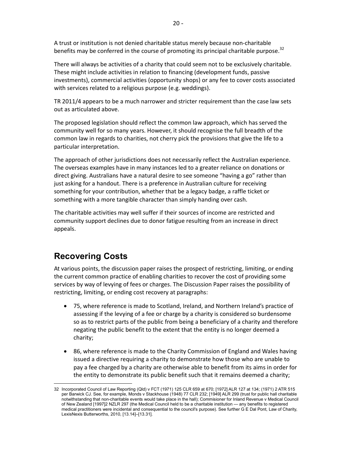<span id="page-19-0"></span> A trust or institution is not denied charitable status merely because non-charitable benefits may be conferred in the course of promoting its principal charitable purpose.<sup>32</sup>

 There will always be activities of a charity that could seem not to be exclusively charitable. These might include activities in relation to financing (development funds, passive investments), commercial activities (opportunity shops) or any fee to cover costs associated with services related to a religious purpose (e.g. weddings).

 TR 2011/4 appears to be a much narrower and stricter requirement than the case law sets out as articulated above.

 The proposed legislation should reflect the common law approach, which has served the community well for so many years. However, it should recognise the full breadth of the common law in regards to charities, not cherry pick the provisions that give the life to a particular interpretation.

 The approach of other jurisdictions does not necessarily reflect the Australian experience. The overseas examples have in many instances led to a greater reliance on donations or direct giving. Australians have a natural desire to see someone "having a go" rather than just asking for a handout. There is a preference in Australian culture for receiving something for your contribution, whether that be a legacy badge, a raffle ticket or something with a more tangible character than simply handing over cash.

 The charitable activities may well suffer if their sources of income are restricted and community support declines due to donor fatigue resulting from an increase in direct appeals.

# **Recovering Costs**

 At various points, the discussion paper raises the prospect of restricting, limiting, or ending the current common practice of enabling charities to recover the cost of providing some services by way of levying of fees or charges. The Discussion Paper raises the possibility of restricting, limiting, or ending cost recovery at paragraphs:

- • 75, where reference is made to Scotland, Ireland, and Northern Ireland's practice of assessing if the levying of a fee or charge by a charity is considered so burdensome so as to restrict parts of the public from being a beneficiary of a charity and therefore negating the public benefit to the extent that the entity is no longer deemed a charity;
- 86, where reference is made to the Charity Commission of England and Wales having issued a directive requiring a charity to demonstrate how those who are unable to pay a fee charged by a charity are otherwise able to benefit from its aims in order for the entity to demonstrate its public benefit such that it remains deemed a charity;

 32 Incorporated Council of Law Reporting (Qld) v FCT (1971) 125 CLR 659 at 670; [1972] ALR 127 at 134; (1971) 2 ATR 515 per Barwick CJ. See, for example, Monds v Stackhouse (1948) 77 CLR 232; [1949] ALR 299 (trust for public hall charitable notwithstanding that noncharitable events would take place in the hall); Commisioner for Inland Revenue v Medical Council of New Zealand [1997]2 NZLR 297 (the Medical Council held to be a charitable institution — any benefits to registered medical practitioners were incidental and consequential to the council's purpose). See further G E Dal Pont, Law of Charity, LexisNexis Butterworths, 2010, [13.14]–[13.31].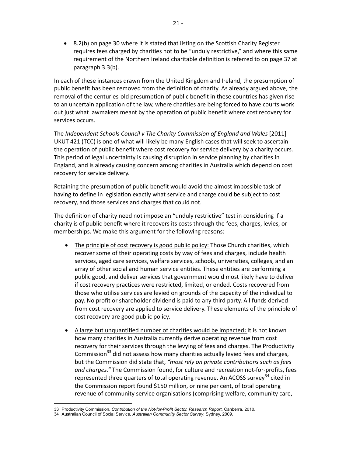• 8.2(b) on page 30 where it is stated that listing on the Scottish Charity Register requires fees charged by charities not to be "unduly restrictive," and where this same requirement of the Northern Ireland charitable definition is referred to on page 37 at paragraph 3.3(b).

 In each of these instances drawn from the United Kingdom and Ireland, the presumption of public benefit has been removed from the definition of charity. As already argued above, the removal of the centuries-old presumption of public benefit in these countries has given rise to an uncertain application of the law, where charities are being forced to have courts work out just what lawmakers meant by the operation of public benefit where cost recovery for services occurs.

The Independent Schools Council v The Charity Commission of England and Wales [2011] UKUT 421 (TCC) is one of what will likely be many English cases that will seek to ascertain the operation of public benefit where cost recovery for service delivery by a charity occurs. This period of legal uncertainty is causing disruption in service planning by charities in England, and is already causing concern among charities in Australia which depend on cost recovery for service delivery.

 Retaining the presumption of public benefit would avoid the almost impossible task of having to define in legislation exactly what service and charge could be subject to cost recovery, and those services and charges that could not.

 The definition of charity need not impose an "unduly restrictive" test in considering if a charity is of public benefit where it recovers its costs through the fees, charges, levies, or memberships. We make this argument for the following reasons:

- The principle of cost recovery is good public policy: Those Church charities, which recover some of their operating costs by way of fees and charges, include health services, aged care services, welfare services, schools, universities, colleges, and an array of other social and human service entities. These entities are performing a public good, and deliver services that government would most likely have to deliver if cost recovery practices were restricted, limited, or ended. Costs recovered from those who utilise services are levied on grounds of the capacity of the individual to pay. No profit or shareholder dividend is paid to any third party. All funds derived from cost recovery are applied to service delivery. These elements of the principle of cost recovery are good public policy.
- • A large but unquantified number of charities would be impacted**:** It is not known how many charities in Australia currently derive operating revenue from cost recovery for their services through the levying of fees and charges. The Productivity Commission<sup>33</sup> did not assess how many charities actually levied fees and charges, but the Commission did state that, *"most rely on private contributions such as fees and charges."* The Commission found, for culture and recreation not-for-profits, fees represented three quarters of total operating revenue. An ACOSS survey<sup>34</sup> cited in the Commission report found \$150 million, or nine per cent, of total operating revenue of community service organisations (comprising welfare, community care,

<u> 1989 - Johann Barn, amerikansk politiker (</u>

 33 Productivity Commission, *Contribution of the NotforProfit Sector, Research Report*, Canberra, 2010.

  34 Australian Council of Social Service, *Australian Community Sector Survey*, Sydney, 2009.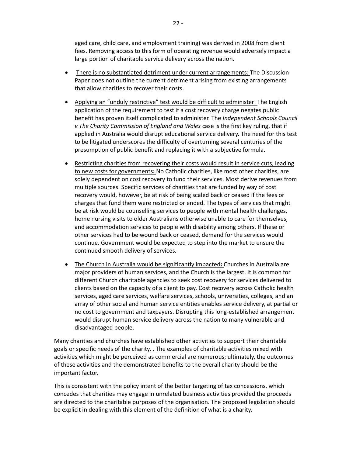aged care, child care, and employment training) was derived in 2008 from client fees. Removing access to this form of operating revenue would adversely impact a large portion of charitable service delivery across the nation.

- There is no substantiated detriment under current arrangements: The Discussion Paper does not outline the current detriment arising from existing arrangements that allow charities to recover their costs.
- Applying an "unduly restrictive" test would be difficult to administer: The English application of the requirement to test if a cost recovery charge negates public benefit has proven itself complicated to administer. The *Independent Schools Council v The Charity Commission of England and Wales* case is the first key ruling, that if applied in Australia would disrupt educational service delivery. The need for this test to be litigated underscores the difficulty of overturning several centuries of the presumption of public benefit and replacing it with a subjective formula.
- Restricting charities from recovering their costs would result in service cuts, leading to new costs for governments**:** No Catholic charities, like most other charities, are solely dependent on cost recovery to fund their services. Most derive revenues from multiple sources. Specific services of charities that are funded by way of cost recovery would, however, be at risk of being scaled back or ceased if the fees or charges that fund them were restricted or ended. The types of services that might be at risk would be counselling services to people with mental health challenges, home nursing visits to older Australians otherwise unable to care for themselves, and accommodation services to people with disability among others. If these or other services had to be wound back or ceased, demand for the services would continue. Government would be expected to step into the market to ensure the continued smooth delivery of services.
- • The Church in Australia would be significantly impacted**:** Churches in Australia are major providers of human services, and the Church is the largest. It is common for different Church charitable agencies to seek cost recovery for services delivered to clients based on the capacity of a client to pay. Cost recovery across Catholic health services, aged care services, welfare services, schools, universities, colleges, and an array of other social and human service entities enables service delivery, at partial or no cost to government and taxpayers. Disrupting this long-established arrangement would disrupt human service delivery across the nation to many vulnerable and disadvantaged people.

 Many charities and churches have established other activities to support their charitable goals or specific needs of the charity. . The examples of charitable activities mixed with activities which might be perceived as commercial are numerous; ultimately, the outcomes of these activities and the demonstrated benefits to the overall charity should be the important factor.

 This is consistent with the policy intent of the better targeting of tax concessions, which concedes that charities may engage in unrelated business activities provided the proceeds are directed to the charitable purposes of the organisation. The proposed legislation should be explicit in dealing with this element of the definition of what is a charity.